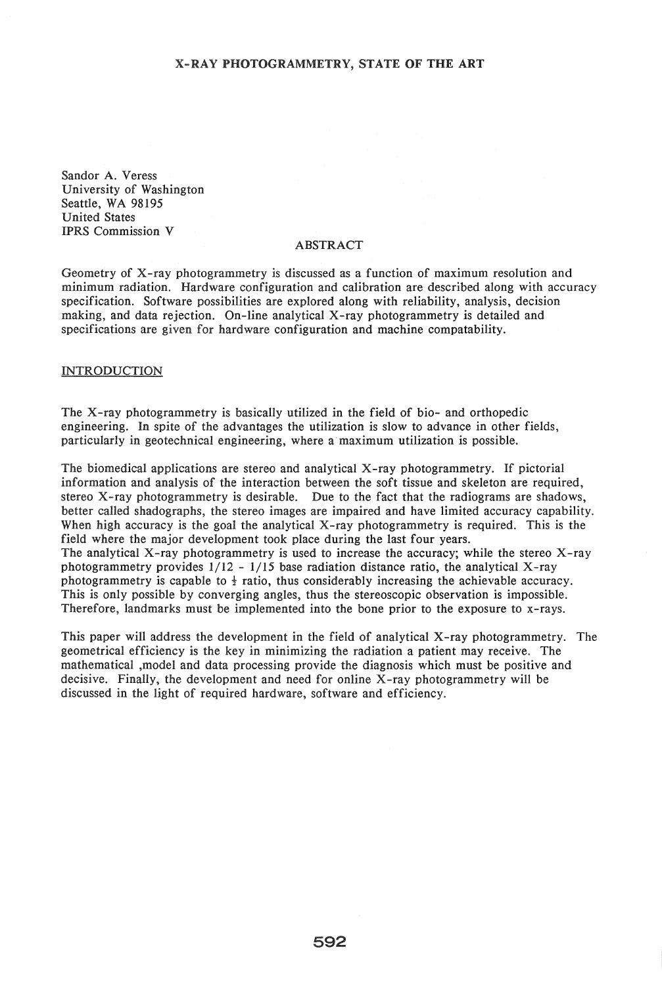Sandor A. Veress University of Washington Seattle, WA 98195 United States IPRS Commission V

## ABSTRACT

Geometry of X-ray photogrammetry is discussed as a function of maximum resolution and minimum radiation. Hardware configuration and calibration are described along with accuracy specification. Software possibilities are explored along with reliability, analysis, decision making, and data rejection. On-line analytical X-ray photogrammetry is detailed and specifications are given for hardware configuration and machine compatability.

# INTRODUCTION

The X -ray photogrammetry is basically utilized in the field of bio- and orthopedic engineering. In spite of the advantages the utilization is slow to advance in other fields, particularly in geotechnical engineering, where a maximum utilization is possible.

The biomedical applications are stereo and analytical X-ray photogrammetry. If pictorial information and analysis of the interaction between the soft tissue and skeleton are required, stereo X -ray photogrammetry is desirable. Due to the fact that the radiograms are shadows, better called shadographs, the stereo images are impaired and have limited accuracy capability. When high accuracy is the goal the analytical X-ray photogrammetry is required. This is the field where the major development took place during the last four years. The analytical X-ray photogrammetry is used to increase the accuracy; while the stereo X-ray photogrammetry provides  $1/12 - 1/15$  base radiation distance ratio, the analytical X-ray photogrammetry is capable to  $\frac{1}{2}$  ratio, thus considerably increasing the achievable accuracy. This is only possible by converging angles, thus the stereoscopic observation is impossible. Therefore, landmarks must be implemented into the bone prior to the exposure to x-rays.

This paper will address the development in the field of analytical X-ray photogrammetry. The geometrical efficiency is the key in minimizing the radiation a patient may receive. The mathematical ,model and data processing provide the diagnosis which must be positive and decisive. Finally, the development and need for online X-ray photogrammetry will be discussed in the light of required hardware, software and efficiency.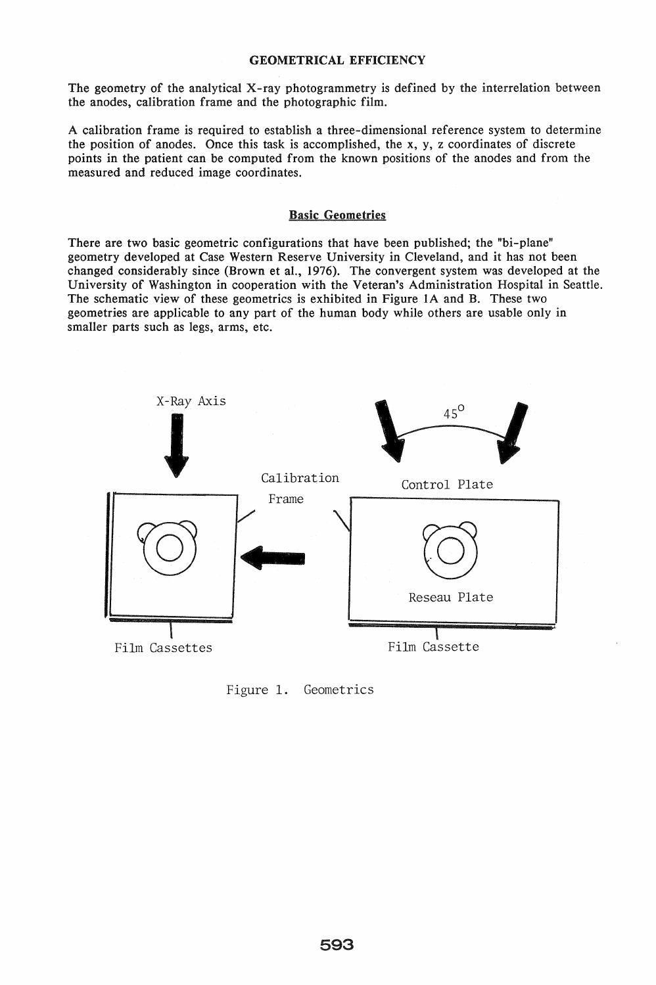# GEOMETRICAL EFFICIENCY

The geometry of the analytical X-ray photogrammetry is defined by the interrelation between the anodes, calibration frame and the photographic film.

A calibration frame is required to establish a three-dimensional reference system to determine the position of anodes. Once this task is accomplished, the x, y, z coordinates of discrete points in the patient can be computed from the known positions of the anodes and from the measured and reduced image coordinates.

# Basic Geometries

There are two basic geometric configurations that have been published; the "bi-plane" geometry developed at Case Western Reserve University in Cleveland, and it has not been changed considerably since (Brown et aI., 1976). The convergent system was developed at the University of Washington in cooperation with the Veteran's Administration Hospital in Seattle. The schematic view of these geometrics is exhibited in Figure 1A and B. These two geometries are applicable to any part of the human body while others are usable only in smaller parts such as legs, arms, etc.



Figure 1. Geometries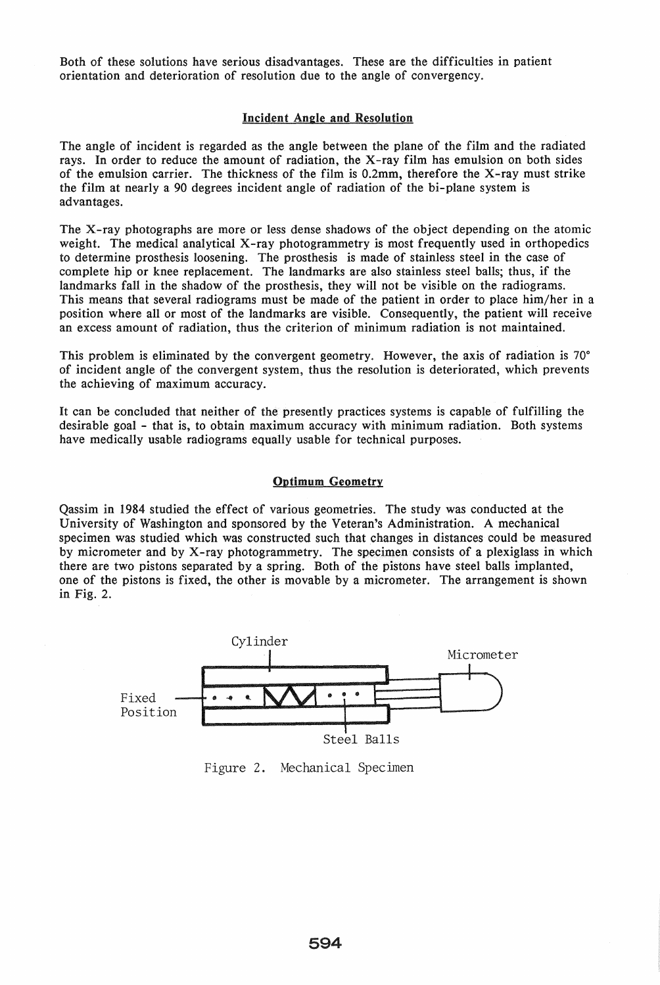Both of these solutions have serious disadvantages. These are the difficulties in patient orientation and deterioration of resolution due to the angle of convergency.

# Incident Angle and Resolution

The angle of incident is regarded as the angle between the plane of the film and the radiated rays. In order to reduce the amount of radiation, the X-ray film has emulsion on both sides of the emulsion carrier. The thickness of the film is 0.2mm, therefore the X-ray must strike the film at nearly a 90 degrees incident angle of radiation of the bi-plane system is advantages.

The X-ray photographs are more or less dense shadows of the object depending on the atomic weight. The medical analytical X-ray photogrammetry is most frequently used in orthopedics to determine prosthesis loosening. The prosthesis is made of stainless steel in the case of complete hip or knee replacement. The landmarks are also stainless steel balls; thus, if the landmarks fall in the shadow of the prosthesis, they will not be visible on the radiograms. This means that several radiograms must be made of the patient in order to place him/her in a position where all or most of the landmarks are visible. Consequently, the patient will receive an excess amount of radiation, thus the criterion of minimum radiation is not maintained.

This problem is eliminated by the convergent geometry. However, the axis of radiation is 70° of incident angle of the convergent system, thus the resolution is deteriorated, which prevents the achieving of maximum accuracy\_

It can be concluded that neither of the presently practices systems is capable of fulfilling the desirable goal - that is, to obtain maximum accuracy with minimum radiation. Both systems have medically usable radiograms equally usable for technical purposes.

# Optimum Geometry

Qassim in 1984 studied the effect of various geometries. The study was conducted at the University of Washington and sponsored by the Veteran's Administration. A mechanical specimen was studied which was constructed such that changes in distances could be measured by micrometer and by X-ray photogrammetry. The specimen consists of a plexiglass in which there are two pistons separated by a spring. Both of the pistons have steel balls implanted, one of the pistons is fixed, the other is movable by a micrometer. The arrangement is shown in Fig. 2.



Figure 2. Mechanical Specimen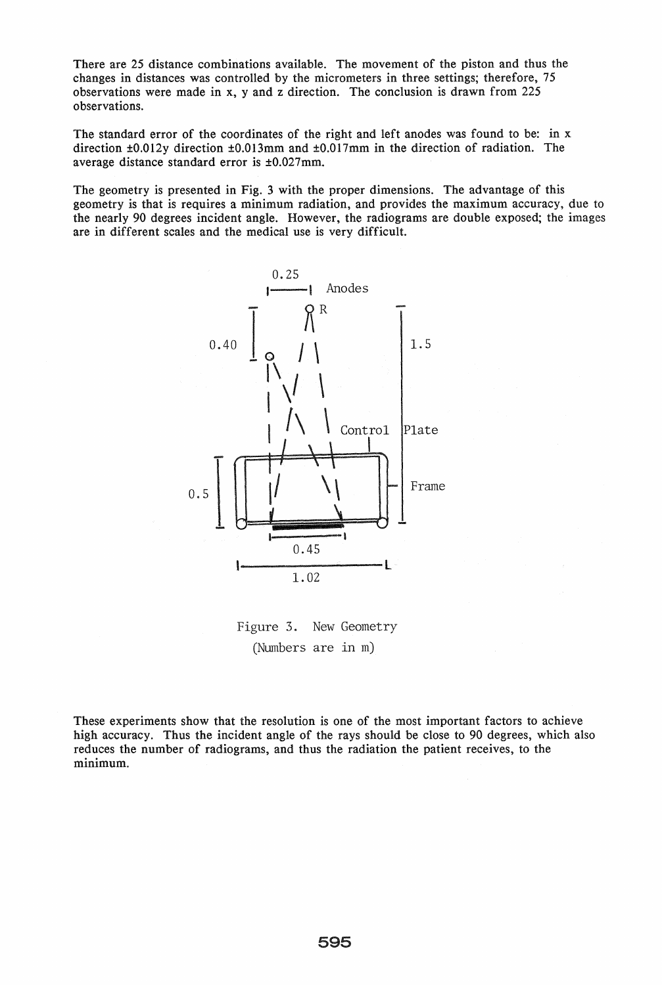There are 25 distance combinations available. The movement of the piston and thus the changes in distances was controlled by the micrometers in three settings; therefore, 75 observations were made in x, y and z direction. The conclusion is drawn from 225 observations.

The standard error of the coordinates of the right and left anodes was found to be: in x direction ±0.012y direction ±0.013mm and ±0.017mm in the direction of radiation. The average distance standard error is ±0.027mm.

The geometry is presented in Fig. 3 with the proper dimensions. The advantage of this geometry is that is requires a minimum radiation, and provides the maximum accuracy, due to the nearly 90 degrees incident angle. However, the radiograms are double exposed; the images are in different scales and the medical use is very difficult.



Figure 3. New Geometry (Numbers are in m)

These experiments show that the resolution is one of the most important factors to achieve high accuracy. Thus the incident angle of the rays should be close to 90 degrees, which also reduces the number of radiograms, and thus the radiation the patient receives, to the minimum.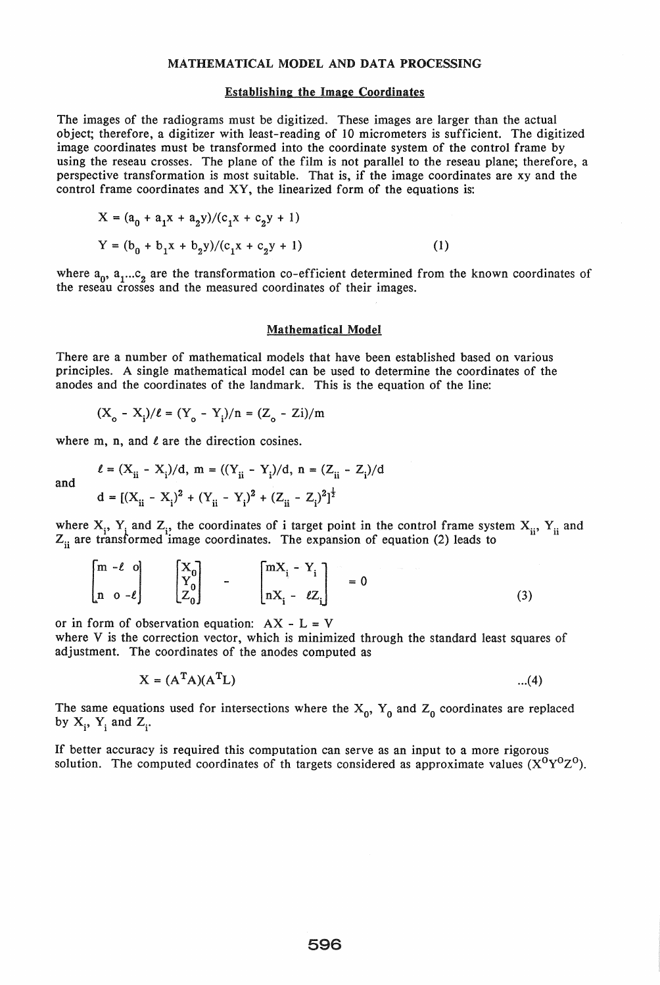### MATHEMATICAL MODEL AND DATA PROCESSING

### Establishing the Image Coordinates

The images of the radiograms must be digitized. These images are larger than the actual object; therefore, a digitizer with least-reading of 10 micrometers is sufficient. The digitized image coordinates must be transformed into the coordinate system of the control frame by using the reseau crosses. The plane of the film is not parallel to the reseau plane; therefore, a perspective transformation is most suitable. That is, if the image coordinates are xy and the control frame coordinates and XY, the linearized form of the equations is:

$$
X = (a_0 + a_1x + a_2y)/(c_1x + c_2y + 1)
$$
  
\n
$$
Y = (b_0 + b_1x + b_2y)/(c_1x + c_2y + 1)
$$
 (1)

where  $a_0$ ,  $a_1...c_2$  are the transformation co-efficient determined from the known coordinates of the reseau crosses and the measured coordinates of their images.

#### Mathematical Model

There are a number of mathematical models that have been established based on various principles. A single mathematical model can be used to determine the coordinates of the anodes and the coordinates of the landmark. This is the equation of the line:

$$
(X_o - X_i)/\ell = (Y_o - Y_i)/n = (Z_o - Zi)/m
$$

where m, n, and  $\ell$  are the direction cosines.

and

$$
\ell = (X_{ii} - X_i)/d, \ m = ((Y_{ii} - Y_i)/d, \ n = (Z_{ii} - Z_i)/d
$$
  

$$
d = [(X_{ii} - X_i)^2 + (Y_{ii} - Y_i)^2 + (Z_{ii} - Z_i)^2]^{\frac{1}{2}}
$$

where  $X_i$ ,  $Y_i$  and  $Z_i$ , the coordinates of i target point in the control frame system  $X_{ii}$ ,  $Y_{ii}$  and  $Z_{ii}$  are transformed image coordinates. The expansion of equation (2) leads to

$$
\begin{bmatrix} m - \ell & 0 \\ n & 0 - \ell \end{bmatrix} \qquad \begin{bmatrix} X_0 \\ Y_0 \\ Z_0 \end{bmatrix} \qquad - \qquad \begin{bmatrix} mX_1 - Y_1 \\ nX_1 - \ell Z_1 \end{bmatrix} = 0 \tag{3}
$$

or in form of observation equation:  $AX - L = V$ 

where V is the correction vector, which is minimized through the standard least squares of adjustment. The coordinates of the anodes computed as

$$
X = (ATA)(ATL)
$$
...(4)

The same equations used for intersections where the  $X_0$ ,  $Y_0$  and  $Z_0$  coordinates are replaced by  $X_i$ ,  $Y_i$  and  $Z_i$ .

If better accuracy is required this computation can serve as an input to a more rigorous solution. The computed coordinates of th targets considered as approximate values  $(X^{0}Y^{0}Z^{0})$ .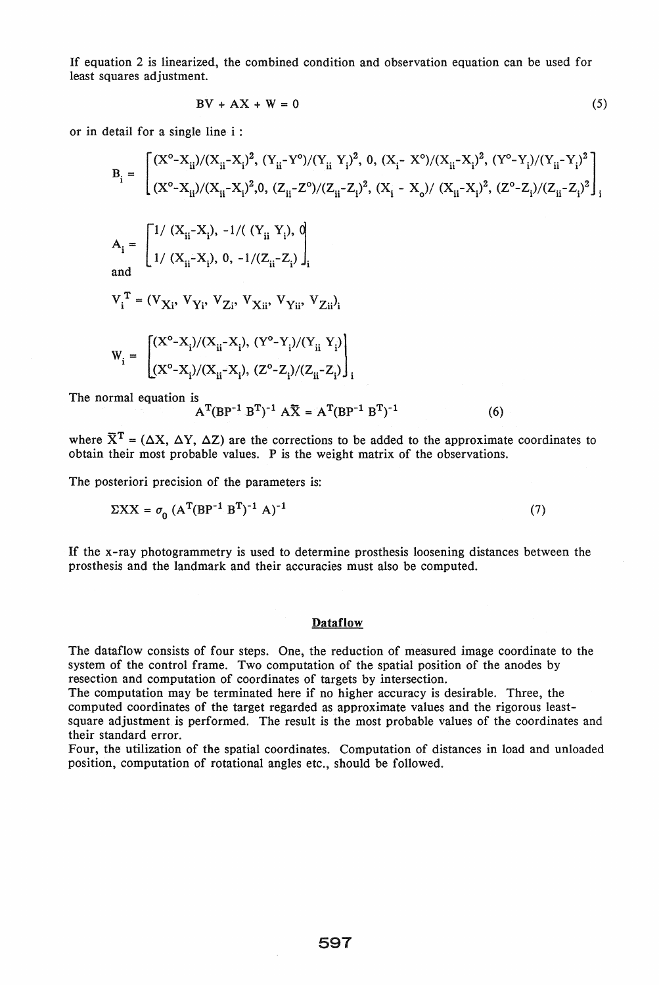If equation 2 is linearized, the combined condition and observation equation can be used for least squares adjustment.

$$
BV + AX + W = 0
$$
 (5)

or in detail for a single line i :

$$
B_{i} = \begin{bmatrix} (X^{o} - X_{ii})/(X_{ii} - X_{i})^{2}, (Y_{ii} - Y^{o})/(Y_{ii} Y_{i})^{2}, 0, (X_{i} - X^{o})/(X_{ii} - X_{i})^{2}, (Y^{o} - Y_{i})/(Y_{ii} - Y_{i})^{2} \\ (X^{o} - X_{ii})/(X_{ii} - X_{i})^{2}, 0, (Z_{ii} - Z^{o})/(Z_{ii} - Z_{i})^{2}, (X_{i} - X_{o})/(X_{ii} - X_{i})^{2}, (Z^{o} - Z_{i})/(Z_{ii} - Z_{i})^{2} \end{bmatrix}_{i}
$$
  
\n
$$
A_{i} = \begin{bmatrix} 1/ (X_{ii} - X_{i}), -1/((Y_{ii} Y_{i}), 0) \\ 1/ (X_{ii} - X_{i}), 0, -1/(Z_{ii} - Z_{i}) \end{bmatrix}_{i}
$$

and 
$$
\mathbf{u} \times \mathbf{u} = \mathbf{v} \times \mathbf{u} + \mathbf{v} \times \mathbf{u}
$$

 $V_i^T = (V_{Xi}, V_{Y_i}, V_{Z_i}, V_{X_{ii}}, V_{Y_{ii}}, V_{Z_{ii}})$ 

$$
W_{i} = \begin{bmatrix} (X^{o} - X_{i})/(X_{ii} - X_{i}), (Y^{o} - Y_{i})/(Y_{ii} Y_{i}) \\ (X^{o} - X_{i})/(X_{ii} - X_{i}), (Z^{o} - Z_{i})/(Z_{ii} - Z_{i}) \end{bmatrix}_{i}
$$

The normal equation is

$$
A^{T}(BP^{-1}B^{T})^{-1}A\overline{X} = A^{T}(BP^{-1}B^{T})^{-1}
$$
 (6)

where  $\overline{X}^T = (\Delta X, \Delta Y, \Delta Z)$  are the corrections to be added to the approximate coordinates to obtain their most probable values. P is the weight matrix of the observations.

The posteriori precision of the parameters is:

$$
\Sigma XX = \sigma_0 (A^T (BP^{-1} \cdot B^T)^{-1} A)^{-1}
$$
 (7)

If the x-ray photogrammetry is used to determine prosthesis loosening distances between the prosthesis and the landmark and their accuracies must also be computed.

#### **Dataflow**

The dataflow consists of four steps. One, the reduction of measured image coordinate to the system of the control frame. Two computation of the spatial position of the anodes by resection and computation of coordinates of targets by intersection.

The computation may be terminated here if no higher accuracy is desirable. Three, the computed coordinates of the target regarded as approximate values and the rigorous leastsquare adjustment is performed. The result is the most probable values of the coordinates and their standard error.

Four, the utilization of the spatial coordinates. Computation of distances in load and unloaded position, computation of rotational angles etc., should be followed.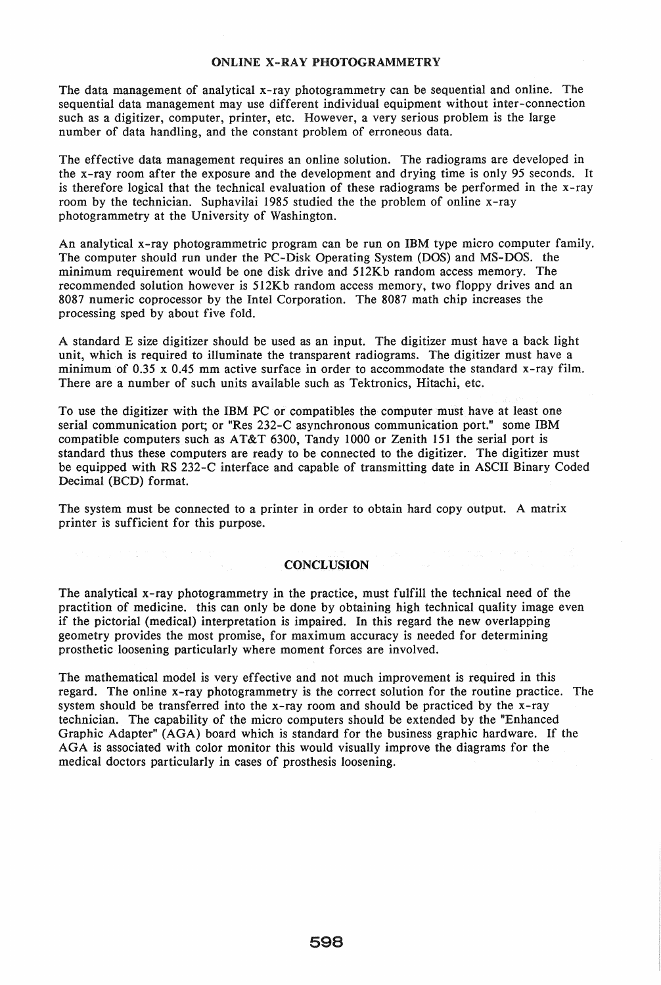## ONLINE X-RAY PHOTOGRAMMETRY

The data management of analytical x-ray photogrammetry can be sequential and online. The sequential data management may use different individual equipment without inter-connection such as a digitizer, computer, printer, etc. However, a very serious problem is the large number of data handling, and the constant problem of erroneous data.

The effective data management requires an online solution. The radiograms are developed in the x-ray room after the exposure and the development and drying time is only 95 seconds. It is therefore logical that the technical evaluation of these radiograms be performed in the x-ray room by the technician. Suphavilai 1985 studied the the problem of online x-ray photogrammetry at the University of Washington.

An analytical x-ray photogrammetric program can be run on IBM type micro computer family. The computer should run under the PC-Disk Operating System (DOS) and MS-DOS. the minimum requirement would be one disk drive and 512Kb random access memory. The recommended solution however is 512Kb random access memory, two floppy drives and an 8087 numeric coprocessor by the Intel Corporation. The 8087 math chip increases the processing sped by about five fold.

A standard E size digitizer should be used as an input. The digitizer must have a back light unit, which is required to illuminate the transparent radiograms. The digitizer must have a minimum of 0.35 x 0.45 mm active surface in order to accommodate the standard x-ray film. There are a number of such units available such as Tektronics, Hitachi, etc.

To use the digitizer with the IBM PC or compatibles the computer must have at least one serial communication port; or "Res 232-C asynchronous communication port." some IBM compatible computers such as AT&T 6300, Tandy 1000 or Zenith 151 the serial port is standard thus these computers are ready to be connected to the digitizer. The digitizer must be equipped with RS 232-C interface and capable of transmitting date in ASCII Binary Coded Decimal (BCD) format.

The system must be connected to a printer in order to obtain hard copy output. A matrix printer is sufficient for this purpose.

### CONCLUSION

The analytical x-ray photogrammetry in the practice, must fulfill the technical need of the practition of medicine. this can only be done by obtaining high technical quality image even if the pictorial (medical) interpretation is impaired. In this regard the new overlapping geometry provides the most promise, for maximum accuracy is needed for determining prosthetic loosening particularly where moment forces are involved.

The mathematical model is very effective and not much improvement is required in this regard. The online x-ray photogrammetry is the correct solution for the routine practice. The system should be transferred into the x-ray room and should be practiced by the x-ray technician. The capability of the micro computers should be extended by the "Enhanced Graphic Adapter" (AGA) board which is standard for the business graphic hardware. If the AGA is associated with color monitor this would visually improve the diagrams for the medical doctors particularly in cases of prosthesis loosening.